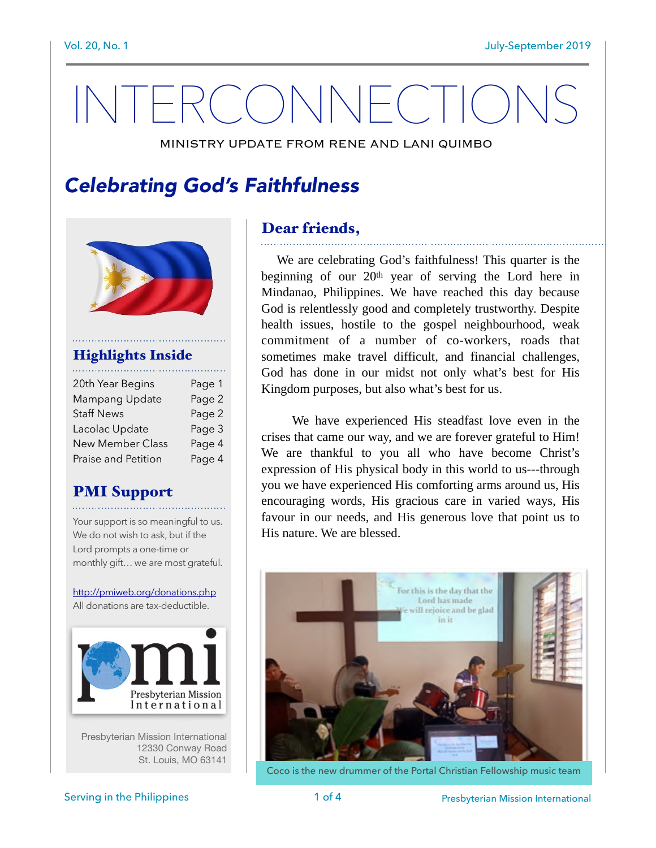# INTERCONNECTION

MINISTRY UPDATE FROM RENE AND LANI QUIMBO

# *Celebrating God's Faithfulness*



#### Highlights Inside

| 20th Year Begins    | Page 1 |
|---------------------|--------|
| Mampang Update      | Page 2 |
| <b>Staff News</b>   | Page 2 |
| Lacolac Update      | Page 3 |
| New Member Class    | Page 4 |
| Praise and Petition | Page 4 |
|                     |        |

#### PMI Support

Your support is so meaningful to us. We do not wish to ask, but if the Lord prompts a one-time or monthly gift… we are most grateful.

<http://pmiweb.org/donations.php> All donations are tax-deductible.



Presbyterian Mission International 12330 Conway Road St. Louis, MO 63141

#### Dear friends,

 We are celebrating God's faithfulness! This quarter is the beginning of our 20th year of serving the Lord here in Mindanao, Philippines. We have reached this day because God is relentlessly good and completely trustworthy. Despite health issues, hostile to the gospel neighbourhood, weak commitment of a number of co-workers, roads that sometimes make travel difficult, and financial challenges, God has done in our midst not only what's best for His Kingdom purposes, but also what's best for us.

 We have experienced His steadfast love even in the crises that came our way, and we are forever grateful to Him! We are thankful to you all who have become Christ's expression of His physical body in this world to us---through you we have experienced His comforting arms around us, His encouraging words, His gracious care in varied ways, His favour in our needs, and His generous love that point us to His nature. We are blessed.



Coco is the new drummer of the Portal Christian Fellowship music team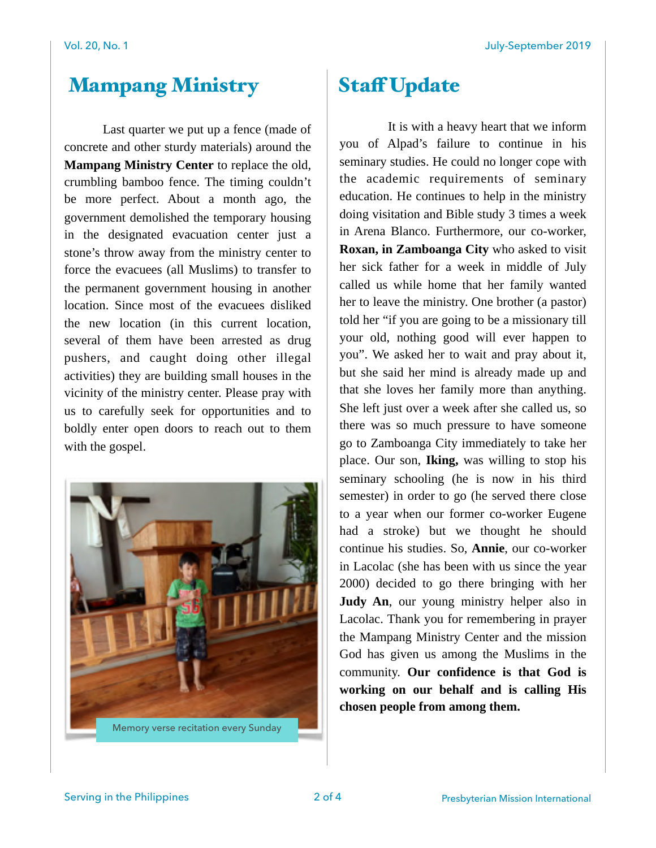## Mampang Ministry Staff Update

 Last quarter we put up a fence (made of concrete and other sturdy materials) around the **Mampang Ministry Center** to replace the old, crumbling bamboo fence. The timing couldn't be more perfect. About a month ago, the government demolished the temporary housing in the designated evacuation center just a stone's throw away from the ministry center to force the evacuees (all Muslims) to transfer to the permanent government housing in another location. Since most of the evacuees disliked the new location (in this current location, several of them have been arrested as drug pushers, and caught doing other illegal activities) they are building small houses in the vicinity of the ministry center. Please pray with us to carefully seek for opportunities and to boldly enter open doors to reach out to them with the gospel.



Memory verse recitation every Sunday

 It is with a heavy heart that we inform you of Alpad's failure to continue in his seminary studies. He could no longer cope with the academic requirements of seminary education. He continues to help in the ministry doing visitation and Bible study 3 times a week in Arena Blanco. Furthermore, our co-worker, **Roxan, in Zamboanga City** who asked to visit her sick father for a week in middle of July called us while home that her family wanted her to leave the ministry. One brother (a pastor) told her "if you are going to be a missionary till your old, nothing good will ever happen to you". We asked her to wait and pray about it, but she said her mind is already made up and that she loves her family more than anything. She left just over a week after she called us, so there was so much pressure to have someone go to Zamboanga City immediately to take her place. Our son, **Iking,** was willing to stop his seminary schooling (he is now in his third semester) in order to go (he served there close to a year when our former co-worker Eugene had a stroke) but we thought he should continue his studies. So, **Annie**, our co-worker in Lacolac (she has been with us since the year 2000) decided to go there bringing with her **Judy An**, our young ministry helper also in Lacolac. Thank you for remembering in prayer the Mampang Ministry Center and the mission God has given us among the Muslims in the community. **Our confidence is that God is working on our behalf and is calling His chosen people from among them.**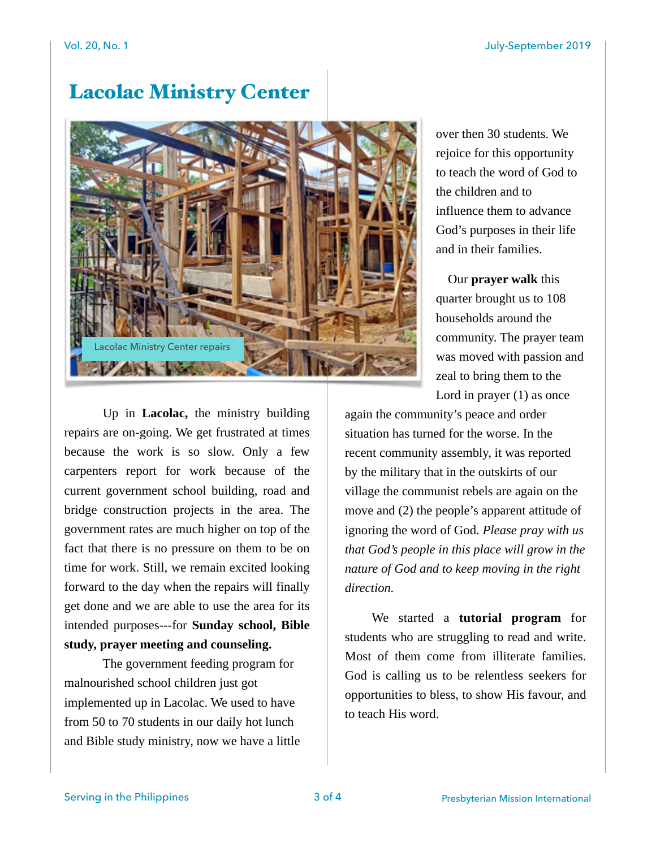# Lacolac Ministry Center



over then 30 students. We rejoice for this opportunity to teach the word of God to the children and to influence them to advance God's purposes in their life and in their families.

 Our **prayer walk** this quarter brought us to 108 households around the community. The prayer team was moved with passion and zeal to bring them to the Lord in prayer (1) as once

 Up in **Lacolac,** the ministry building repairs are on-going. We get frustrated at times because the work is so slow. Only a few carpenters report for work because of the current government school building, road and bridge construction projects in the area. The government rates are much higher on top of the fact that there is no pressure on them to be on time for work. Still, we remain excited looking forward to the day when the repairs will finally get done and we are able to use the area for its intended purposes---for **Sunday school, Bible study, prayer meeting and counseling.** 

 The government feeding program for malnourished school children just got implemented up in Lacolac. We used to have from 50 to 70 students in our daily hot lunch and Bible study ministry, now we have a little

again the community's peace and order situation has turned for the worse. In the recent community assembly, it was reported by the military that in the outskirts of our village the communist rebels are again on the move and (2) the people's apparent attitude of ignoring the word of God. *Please pray with us that God's people in this place will grow in the nature of God and to keep moving in the right direction.*

 We started a **tutorial program** for students who are struggling to read and write. Most of them come from illiterate families. God is calling us to be relentless seekers for opportunities to bless, to show His favour, and to teach His word.